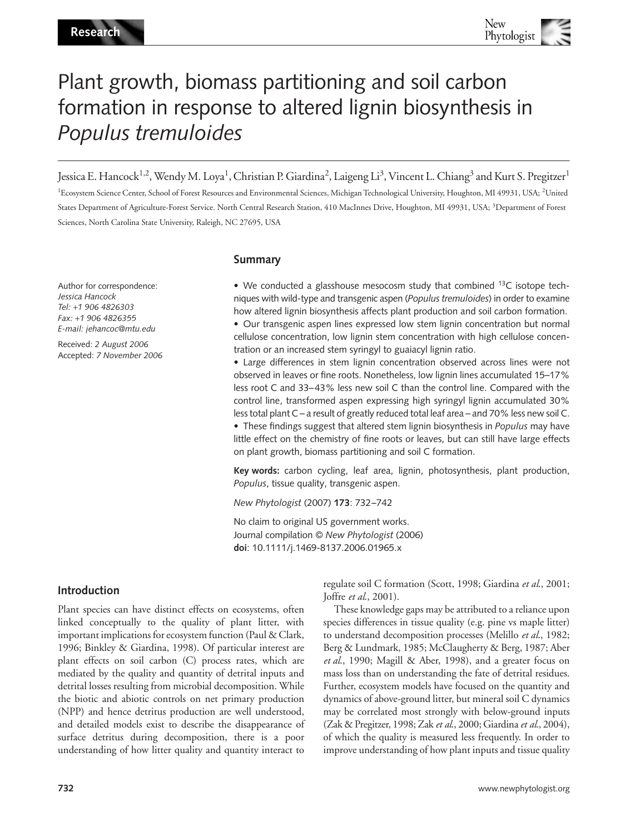# Plant growth, biomass partitioning and soil carbon formation in response to altered lignin biosynthesis in *Populus tremuloides*

Jessica E. Hancock<sup>1,2</sup>, Wendy M. Loya<sup>1</sup>, Christian P. Giardina<sup>2</sup>, Laigeng Li<sup>3</sup>, Vincent L. Chiang<sup>3</sup> and Kurt S. Pregitzer<sup>1</sup>

<sup>1</sup>Ecosystem Science Center, School of Forest Resources and Environmental Sciences, Michigan Technological University, Houghton, MI 49931, USA; <sup>2</sup>United States Department of Agriculture-Forest Service. North Central Research Station, 410 MacInnes Drive, Houghton, MI 49931, USA; <sup>3</sup>Department of Forest Sciences, North Carolina State University, Raleigh, NC 27695, USA

Author for correspondence: *Jessica Hancock Tel:* +*1 906 4826303 Fax:* +*1 906 4826355 E-mail: jehancoc@mtu.edu*

Received: *2 August 2006* Accepted: *7 November 2006*

# **Summary**

• We conducted a glasshouse mesocosm study that combined  $^{13}C$  isotope techniques with wild-type and transgenic aspen (*Populus tremuloides*) in order to examine how altered lignin biosynthesis affects plant production and soil carbon formation. • Our transgenic aspen lines expressed low stem lignin concentration but normal cellulose concentration, low lignin stem concentration with high cellulose concen-

tration or an increased stem syringyl to guaiacyl lignin ratio. • Large differences in stem lignin concentration observed across lines were not observed in leaves or fine roots. Nonetheless, low lignin lines accumulated 15–17% less root C and 33–43% less new soil C than the control line. Compared with the control line, transformed aspen expressing high syringyl lignin accumulated 30% less total plant C – a result of greatly reduced total leaf area – and 70% less new soil C. • These findings suggest that altered stem lignin biosynthesis in *Populus* may have little effect on the chemistry of fine roots or leaves, but can still have large effects on plant growth, biomass partitioning and soil C formation.

**Key words:** carbon cycling, leaf area, lignin, photosynthesis, plant production, *Populus*, tissue quality, transgenic aspen.

*New Phytologist* (2007) **173**: 732–742

No claim to original US government works. Journal compilation © *New Phytologist* (2006) **doi**: 10.1111/j.1469-8137.2006.01965.x

# **Introduction**

Plant species can have distinct effects on ecosystems, often linked conceptually to the quality of plant litter, with important implications for ecosystem function (Paul & Clark, 1996; Binkley & Giardina, 1998). Of particular interest are plant effects on soil carbon (C) process rates, which are mediated by the quality and quantity of detrital inputs and detrital losses resulting from microbial decomposition. While the biotic and abiotic controls on net primary production (NPP) and hence detritus production are well understood, and detailed models exist to describe the disappearance of surface detritus during decomposition, there is a poor understanding of how litter quality and quantity interact to

regulate soil C formation (Scott, 1998; Giardina *et al*., 2001; Joffre *et al*., 2001).

These knowledge gaps may be attributed to a reliance upon species differences in tissue quality (e.g. pine vs maple litter) to understand decomposition processes (Melillo *et al*., 1982; Berg & Lundmark, 1985; McClaugherty & Berg, 1987; Aber *et al*., 1990; Magill & Aber, 1998), and a greater focus on mass loss than on understanding the fate of detrital residues. Further, ecosystem models have focused on the quantity and dynamics of above-ground litter, but mineral soil C dynamics may be correlated most strongly with below-ground inputs (Zak & Pregitzer, 1998; Zak *et al*., 2000; Giardina *et al*., 2004), of which the quality is measured less frequently. In order to improve understanding of how plant inputs and tissue quality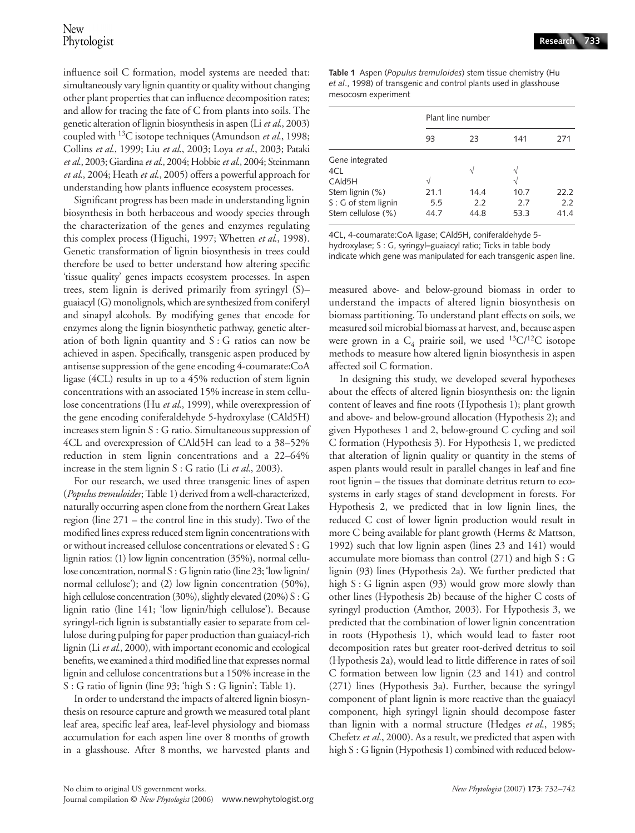influence soil C formation, model systems are needed that: simultaneously vary lignin quantity or quality without changing other plant properties that can influence decomposition rates; and allow for tracing the fate of C from plants into soils. The genetic alteration of lignin biosynthesis in aspen (Li *et al*., 2003) coupled with 13C isotope techniques (Amundson *et al*., 1998; Collins *et al*., 1999; Liu *et al*., 2003; Loya *et al*., 2003; Pataki *et al*., 2003; Giardina *et al*., 2004; Hobbie *et al*., 2004; Steinmann *et al*., 2004; Heath *et al*., 2005) offers a powerful approach for understanding how plants influence ecosystem processes.

Significant progress has been made in understanding lignin biosynthesis in both herbaceous and woody species through the characterization of the genes and enzymes regulating this complex process (Higuchi, 1997; Whetten *et al*., 1998). Genetic transformation of lignin biosynthesis in trees could therefore be used to better understand how altering specific 'tissue quality' genes impacts ecosystem processes. In aspen trees, stem lignin is derived primarily from syringyl (S)– guaiacyl (G) monolignols, which are synthesized from coniferyl and sinapyl alcohols. By modifying genes that encode for enzymes along the lignin biosynthetic pathway, genetic alteration of both lignin quantity and  $S: G$  ratios can now be achieved in aspen. Specifically, transgenic aspen produced by antisense suppression of the gene encoding 4-coumarate:CoA ligase (4CL) results in up to a 45% reduction of stem lignin concentrations with an associated 15% increase in stem cellulose concentrations (Hu *et al.*, 1999), while overexpression of the gene encoding coniferaldehyde 5-hydroxylase (CAld5H) increases stem lignin S : G ratio. Simultaneous suppression of 4CL and overexpression of CAld5H can lead to a 38–52% reduction in stem lignin concentrations and a 22–64% increase in the stem lignin S : G ratio (Li *et al.*, 2003).

For our research, we used three transgenic lines of aspen (*Populus tremuloides*; Table 1) derived from a well-characterized, naturally occurring aspen clone from the northern Great Lakes region (line 271 – the control line in this study). Two of the modified lines express reduced stem lignin concentrations with or without increased cellulose concentrations or elevated S : G lignin ratios: (1) low lignin concentration (35%), normal cellulose concentration, normal S : G lignin ratio (line 23; 'low lignin/ normal cellulose'); and (2) low lignin concentration (50%), high cellulose concentration (30%), slightly elevated (20%) S : G lignin ratio (line 141; 'low lignin/high cellulose'). Because syringyl-rich lignin is substantially easier to separate from cellulose during pulping for paper production than guaiacyl-rich lignin (Li *et al*., 2000), with important economic and ecological benefits, we examined a third modified line that expresses normal lignin and cellulose concentrations but a 150% increase in the S : G ratio of lignin (line 93; 'high S : G lignin'; Table 1).

In order to understand the impacts of altered lignin biosynthesis on resource capture and growth we measured total plant leaf area, specific leaf area, leaf-level physiology and biomass accumulation for each aspen line over 8 months of growth in a glasshouse. After 8 months, we harvested plants and

**Table 1** Aspen (*Populus tremuloides*) stem tissue chemistry (Hu *et al*., 1998) of transgenic and control plants used in glasshouse mesocosm experiment

| Plant line number |      |      |      |  |  |
|-------------------|------|------|------|--|--|
| 93                | 23   | 141  | 271  |  |  |
|                   |      |      |      |  |  |
|                   | N    | À.   |      |  |  |
| N                 |      | V    |      |  |  |
| 21.1              | 14.4 | 10.7 | 22.2 |  |  |
| 5.5               | 2.2  | 2.7  | 2.2  |  |  |
| 44.7              | 44.8 | 53.3 | 41.4 |  |  |
|                   |      |      |      |  |  |

4CL, 4-coumarate:CoA ligase; CAld5H, coniferaldehyde 5 hydroxylase; S : G, syringyl–guaiacyl ratio; Ticks in table body indicate which gene was manipulated for each transgenic aspen line.

measured above- and below-ground biomass in order to understand the impacts of altered lignin biosynthesis on biomass partitioning. To understand plant effects on soils, we measured soil microbial biomass at harvest, and, because aspen were grown in a  $C_4$  prairie soil, we used <sup>13</sup>C/<sup>12</sup>C isotope methods to measure how altered lignin biosynthesis in aspen affected soil C formation.

In designing this study, we developed several hypotheses about the effects of altered lignin biosynthesis on: the lignin content of leaves and fine roots (Hypothesis 1); plant growth and above- and below-ground allocation (Hypothesis 2); and given Hypotheses 1 and 2, below-ground C cycling and soil C formation (Hypothesis 3). For Hypothesis 1, we predicted that alteration of lignin quality or quantity in the stems of aspen plants would result in parallel changes in leaf and fine root lignin – the tissues that dominate detritus return to ecosystems in early stages of stand development in forests. For Hypothesis 2, we predicted that in low lignin lines, the reduced C cost of lower lignin production would result in more C being available for plant growth (Herms & Mattson, 1992) such that low lignin aspen (lines 23 and 141) would accumulate more biomass than control (271) and high S : G lignin (93) lines (Hypothesis 2a). We further predicted that high S : G lignin aspen (93) would grow more slowly than other lines (Hypothesis 2b) because of the higher C costs of syringyl production (Amthor, 2003). For Hypothesis 3, we predicted that the combination of lower lignin concentration in roots (Hypothesis 1), which would lead to faster root decomposition rates but greater root-derived detritus to soil (Hypothesis 2a), would lead to little difference in rates of soil C formation between low lignin (23 and 141) and control (271) lines (Hypothesis 3a). Further, because the syringyl component of plant lignin is more reactive than the guaiacyl component, high syringyl lignin should decompose faster than lignin with a normal structure (Hedges *et al*., 1985; Chefetz *et al*., 2000). As a result, we predicted that aspen with high S : G lignin (Hypothesis 1) combined with reduced below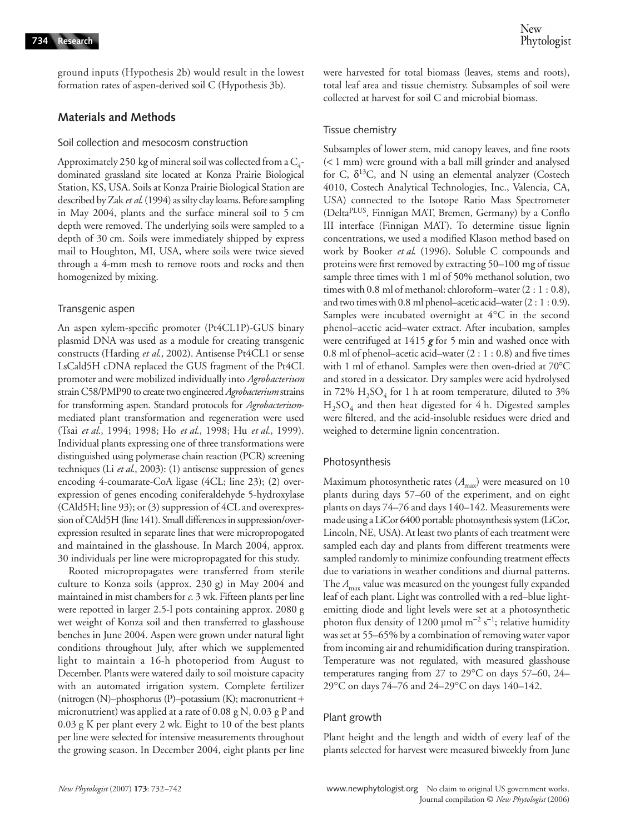ground inputs (Hypothesis 2b) would result in the lowest formation rates of aspen-derived soil C (Hypothesis 3b).

#### **Materials and Methods**

## Soil collection and mesocosm construction

Approximately 250 kg of mineral soil was collected from a  $C_4$ dominated grassland site located at Konza Prairie Biological Station, KS, USA. Soils at Konza Prairie Biological Station are described by Zak *et al*. (1994) as silty clay loams. Before sampling in May 2004, plants and the surface mineral soil to 5 cm depth were removed. The underlying soils were sampled to a depth of 30 cm. Soils were immediately shipped by express mail to Houghton, MI, USA, where soils were twice sieved through a 4-mm mesh to remove roots and rocks and then homogenized by mixing.

#### Transgenic aspen

An aspen xylem-specific promoter (Pt4CL1P)-GUS binary plasmid DNA was used as a module for creating transgenic constructs (Harding *et al*., 2002). Antisense Pt4CL1 or sense LsCald5H cDNA replaced the GUS fragment of the Pt4CL promoter and were mobilized individually into *Agrobacterium* strain C58/PMP90 to create two engineered *Agrobacterium*strains for transforming aspen. Standard protocols for *Agrobacterium*mediated plant transformation and regeneration were used (Tsai *et al*., 1994; 1998; Ho *et al*., 1998; Hu *et al*., 1999). Individual plants expressing one of three transformations were distinguished using polymerase chain reaction (PCR) screening techniques (Li *et al*., 2003): (1) antisense suppression of genes encoding 4-coumarate-CoA ligase (4CL; line 23); (2) overexpression of genes encoding coniferaldehyde 5-hydroxylase (CAld5H; line 93); or (3) suppression of 4CL and overexpression of CAld5H (line 141). Small differences in suppression/overexpression resulted in separate lines that were micropropogated and maintained in the glasshouse. In March 2004, approx. 30 individuals per line were micropropagated for this study.

Rooted micropropagates were transferred from sterile culture to Konza soils (approx. 230 g) in May 2004 and maintained in mist chambers for *c*. 3 wk. Fifteen plants per line were repotted in larger 2.5-l pots containing approx. 2080 g wet weight of Konza soil and then transferred to glasshouse benches in June 2004. Aspen were grown under natural light conditions throughout July, after which we supplemented light to maintain a 16-h photoperiod from August to December. Plants were watered daily to soil moisture capacity with an automated irrigation system. Complete fertilizer (nitrogen (N)–phosphorus (P)–potassium (K); macronutrient + micronutrient) was applied at a rate of 0.08 g N, 0.03 g P and 0.03 g K per plant every 2 wk. Eight to 10 of the best plants per line were selected for intensive measurements throughout the growing season. In December 2004, eight plants per line

were harvested for total biomass (leaves, stems and roots), total leaf area and tissue chemistry. Subsamples of soil were collected at harvest for soil C and microbial biomass.

#### Tissue chemistry

Subsamples of lower stem, mid canopy leaves, and fine roots (< 1 mm) were ground with a ball mill grinder and analysed for C,  $\delta^{13}$ C, and N using an elemental analyzer (Costech 4010, Costech Analytical Technologies, Inc., Valencia, CA, USA) connected to the Isotope Ratio Mass Spectrometer (DeltaPLUS, Finnigan MAT, Bremen, Germany) by a Conflo III interface (Finnigan MAT). To determine tissue lignin concentrations, we used a modified Klason method based on work by Booker *et al*. (1996). Soluble C compounds and proteins were first removed by extracting 50–100 mg of tissue sample three times with 1 ml of 50% methanol solution, two times with 0.8 ml of methanol: chloroform–water (2 : 1 : 0.8), and two times with 0.8 ml phenol–acetic acid–water (2 : 1 : 0.9). Samples were incubated overnight at 4°C in the second phenol–acetic acid–water extract. After incubation, samples were centrifuged at 1415 *g* for 5 min and washed once with 0.8 ml of phenol–acetic acid–water (2 : 1 : 0.8) and five times with 1 ml of ethanol. Samples were then oven-dried at 70°C and stored in a dessicator. Dry samples were acid hydrolysed in 72%  $H_2SO_4$  for 1 h at room temperature, diluted to 3%  $H_2SO_4$  and then heat digested for 4 h. Digested samples were filtered, and the acid-insoluble residues were dried and weighed to determine lignin concentration.

#### Photosynthesis

Maximum photosynthetic rates  $(A<sub>max</sub>)$  were measured on 10 plants during days 57–60 of the experiment, and on eight plants on days 74–76 and days 140–142. Measurements were made using a LiCor 6400 portable photosynthesis system (LiCor, Lincoln, NE, USA). At least two plants of each treatment were sampled each day and plants from different treatments were sampled randomly to minimize confounding treatment effects due to variations in weather conditions and diurnal patterns. The  $A_{\text{max}}$  value was measured on the youngest fully expanded leaf of each plant. Light was controlled with a red–blue lightemitting diode and light levels were set at a photosynthetic photon flux density of 1200 µmol m<sup>-2</sup> s<sup>-1</sup>; relative humidity was set at 55–65% by a combination of removing water vapor from incoming air and rehumidification during transpiration. Temperature was not regulated, with measured glasshouse temperatures ranging from 27 to 29°C on days 57–60, 24– 29°C on days 74–76 and 24–29°C on days 140–142.

#### Plant growth

Plant height and the length and width of every leaf of the plants selected for harvest were measured biweekly from June

*New Phytologist* (2007) **173**: 732–742 www.newphytologist.org No claim to original US government works. Journal compilation © *New Phytologist* (2006)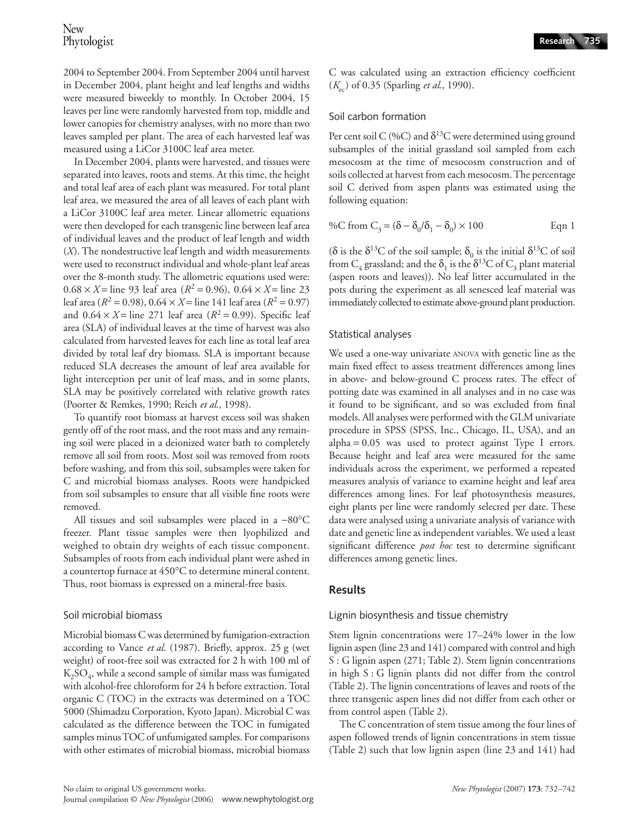2004 to September 2004. From September 2004 until harvest in December 2004, plant height and leaf lengths and widths were measured biweekly to monthly. In October 2004, 15 leaves per line were randomly harvested from top, middle and lower canopies for chemistry analyses, with no more than two leaves sampled per plant. The area of each harvested leaf was measured using a LiCor 3100C leaf area meter.

In December 2004, plants were harvested, and tissues were separated into leaves, roots and stems. At this time, the height and total leaf area of each plant was measured. For total plant leaf area, we measured the area of all leaves of each plant with a LiCor 3100C leaf area meter. Linear allometric equations were then developed for each transgenic line between leaf area of individual leaves and the product of leaf length and width (*X*). The nondestructive leaf length and width measurements were used to reconstruct individual and whole-plant leaf areas over the 8-month study. The allometric equations used were:  $0.68 \times X =$  line 93 leaf area ( $R^2 = 0.96$ ),  $0.64 \times X =$  line 23 leaf area ( $R^2 = 0.98$ ),  $0.64 \times X =$  line 141 leaf area ( $R^2 = 0.97$ ) and  $0.64 \times X =$  line 271 leaf area ( $R^2 = 0.99$ ). Specific leaf area (SLA) of individual leaves at the time of harvest was also calculated from harvested leaves for each line as total leaf area divided by total leaf dry biomass. SLA is important because reduced SLA decreases the amount of leaf area available for light interception per unit of leaf mass, and in some plants, SLA may be positively correlated with relative growth rates (Poorter & Remkes, 1990; Reich *et al*., 1998).

To quantify root biomass at harvest excess soil was shaken gently off of the root mass, and the root mass and any remaining soil were placed in a deionized water bath to completely remove all soil from roots. Most soil was removed from roots before washing, and from this soil, subsamples were taken for C and microbial biomass analyses. Roots were handpicked from soil subsamples to ensure that all visible fine roots were removed.

All tissues and soil subsamples were placed in a −80°C freezer. Plant tissue samples were then lyophilized and weighed to obtain dry weights of each tissue component. Subsamples of roots from each individual plant were ashed in a countertop furnace at 450°C to determine mineral content. Thus, root biomass is expressed on a mineral-free basis.

# Soil microbial biomass

Microbial biomass C was determined by fumigation-extraction according to Vance *et al*. (1987). Briefly, approx. 25 g (wet weight) of root-free soil was extracted for 2 h with 100 ml of  $K<sub>2</sub>SO<sub>4</sub>$ , while a second sample of similar mass was fumigated with alcohol-free chloroform for 24 h before extraction. Total organic C (TOC) in the extracts was determined on a TOC 5000 (Shimadzu Corporation, Kyoto Japan). Microbial C was calculated as the difference between the TOC in fumigated samples minus TOC of unfumigated samples. For comparisons with other estimates of microbial biomass, microbial biomass

C was calculated using an extraction efficiency coefficient (*K*ec) of 0.35 (Sparling *et al*., 1990).

# Soil carbon formation

Per cent soil C (%C) and  $\delta^{13}$ C were determined using ground subsamples of the initial grassland soil sampled from each mesocosm at the time of mesocosm construction and of soils collected at harvest from each mesocosm. The percentage soil C derived from aspen plants was estimated using the following equation:

%C from 
$$
C_3 = (\delta - \delta_0/\delta_1 - \delta_0) \times 100
$$
 Eqn 1

(δ is the  $\delta^{13}$ C of the soil sample;  $\delta_0$  is the initial  $\delta^{13}$ C of soil from  $C_4$  grassland; and the  $\delta_1$  is the  $\delta^{13}C$  of  $C_3$  plant material (aspen roots and leaves)). No leaf litter accumulated in the pots during the experiment as all senesced leaf material was immediately collected to estimate above-ground plant production.

# Statistical analyses

We used a one-way univariate ANOVA with genetic line as the main fixed effect to assess treatment differences among lines in above- and below-ground C process rates. The effect of potting date was examined in all analyses and in no case was it found to be significant, and so was excluded from final models. All analyses were performed with the GLM univariate procedure in SPSS (SPSS, Inc., Chicago, IL, USA), and an  $alpha = 0.05$  was used to protect against Type I errors. Because height and leaf area were measured for the same individuals across the experiment, we performed a repeated measures analysis of variance to examine height and leaf area differences among lines. For leaf photosynthesis measures, eight plants per line were randomly selected per date. These data were analysed using a univariate analysis of variance with date and genetic line as independent variables. We used a least significant difference *post hoc* test to determine significant differences among genetic lines.

# **Results**

# Lignin biosynthesis and tissue chemistry

Stem lignin concentrations were 17–24% lower in the low lignin aspen (line 23 and 141) compared with control and high S : G lignin aspen (271; Table 2). Stem lignin concentrations in high S : G lignin plants did not differ from the control (Table 2). The lignin concentrations of leaves and roots of the three transgenic aspen lines did not differ from each other or from control aspen (Table 2).

The C concentration of stem tissue among the four lines of aspen followed trends of lignin concentrations in stem tissue (Table 2) such that low lignin aspen (line 23 and 141) had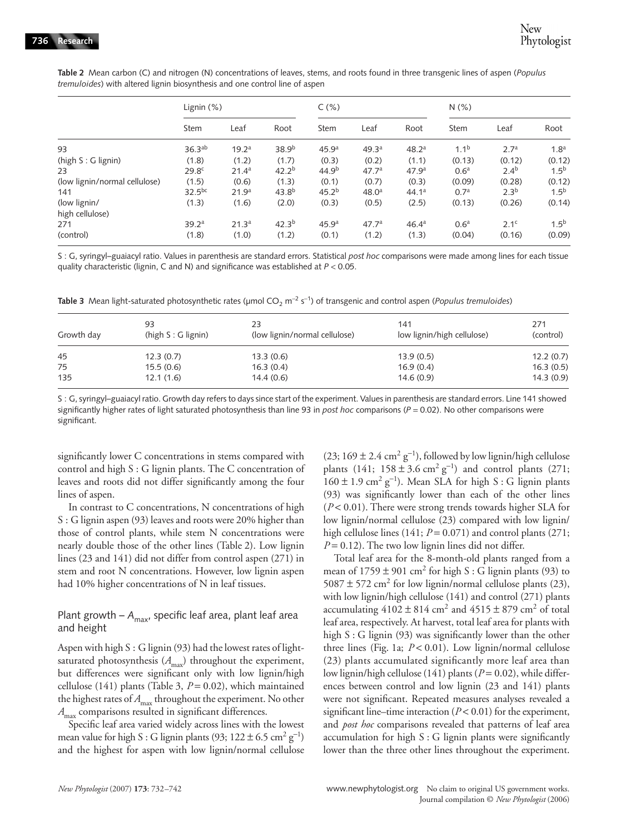|                                 | Lignin $(\%)$      |                   |                   | C(% )             |                   | N(% )             |                  |                  |                  |
|---------------------------------|--------------------|-------------------|-------------------|-------------------|-------------------|-------------------|------------------|------------------|------------------|
|                                 | <b>Stem</b>        | Leaf              | Root              | Stem              | Leaf              | Root              | Stem             | Leaf             | Root             |
| 93                              | 36.3 <sup>ab</sup> | 19.2 <sup>a</sup> | 38.9 <sup>b</sup> | 45.9 <sup>a</sup> | 49.3 <sup>a</sup> | 48.2 <sup>a</sup> | 1.1 <sup>b</sup> | 2.7 <sup>a</sup> | 1.8 <sup>a</sup> |
| (high S: G lignin)              | (1.8)              | (1.2)             | (1.7)             | (0.3)             | (0.2)             | (1.1)             | (0.13)           | (0.12)           | (0.12)           |
| 23                              | 29.8 <sup>c</sup>  | 21.4 <sup>a</sup> | $42.2^{b}$        | 44.9 <sup>b</sup> | 47.7 <sup>a</sup> | 47.9 <sup>a</sup> | 0.6 <sup>a</sup> | $2.4^{b}$        | $1.5^{b}$        |
| (low lignin/normal cellulose)   | (1.5)              | (0.6)             | (1.3)             | (0.1)             | (0.7)             | (0.3)             | (0.09)           | (0.28)           | (0.12)           |
| 141                             | $32.5^{bc}$        | 21.9 <sup>a</sup> | $43.8^{b}$        | 45.2 <sup>b</sup> | 48.0 <sup>a</sup> | 44.1 <sup>a</sup> | 0.7 <sup>a</sup> | 2.3 <sup>b</sup> | $1.5^{b}$        |
| (low lignin/<br>high cellulose) | (1.3)              | (1.6)             | (2.0)             | (0.3)             | (0.5)             | (2.5)             | (0.13)           | (0.26)           | (0.14)           |
| 271                             | 39.2 <sup>a</sup>  | 21.3 <sup>a</sup> | 42.3 <sup>b</sup> | 45.9 <sup>a</sup> | 47.7 <sup>a</sup> | 46.4 <sup>a</sup> | 0.6 <sup>a</sup> | 2.1 <sup>c</sup> | $1.5^{b}$        |
| (control)                       | (1.8)              | (1.0)             | (1.2)             | (0.1)             | (1.2)             | (1.3)             | (0.04)           | (0.16)           | (0.09)           |

**Table 2** Mean carbon (C) and nitrogen (N) concentrations of leaves, stems, and roots found in three transgenic lines of aspen (*Populus tremuloides*) with altered lignin biosynthesis and one control line of aspen

S : G, syringyl–guaiacyl ratio. Values in parenthesis are standard errors. Statistical *post hoc* comparisons were made among lines for each tissue quality characteristic (lignin, C and N) and significance was established at *P* < 0.05.

Table 3 Mean light-saturated photosynthetic rates (μmol CO<sub>2</sub> m<sup>-2</sup> s<sup>-1</sup>) of transgenic and control aspen (*Populus tremuloides*)

| Growth day | 93<br>(high $S:G$ lignin) | 23<br>(low lignin/normal cellulose) | 141<br>low lignin/high cellulose) | 271<br>(control) |
|------------|---------------------------|-------------------------------------|-----------------------------------|------------------|
| 45         | 12.3(0.7)                 | 13.3(0.6)                           | 13.9(0.5)                         | 12.2(0.7)        |
| 75         | 15.5(0.6)                 | 16.3(0.4)                           | 16.9(0.4)                         | 16.3(0.5)        |
| 135        | 12.1(1.6)                 | 14.4(0.6)                           | 14.6(0.9)                         | 14.3(0.9)        |

S : G, syringyl–guaiacyl ratio. Growth day refers to days since start of the experiment. Values in parenthesis are standard errors. Line 141 showed significantly higher rates of light saturated photosynthesis than line 93 in *post hoc* comparisons (*P* = 0.02). No other comparisons were significant.

significantly lower C concentrations in stems compared with control and high S : G lignin plants. The C concentration of leaves and roots did not differ significantly among the four lines of aspen.

In contrast to C concentrations, N concentrations of high S : G lignin aspen (93) leaves and roots were 20% higher than those of control plants, while stem N concentrations were nearly double those of the other lines (Table 2). Low lignin lines (23 and 141) did not differ from control aspen (271) in stem and root N concentrations. However, low lignin aspen had 10% higher concentrations of N in leaf tissues.

## Plant growth –  $A_{\text{max}}$ , specific leaf area, plant leaf area and height

Aspen with high S : G lignin (93) had the lowest rates of lightsaturated photosynthesis ( $A$ <sub>max</sub>) throughout the experiment, but differences were significant only with low lignin/high cellulose (141) plants (Table 3, *P* = 0.02), which maintained the highest rates of  $A_{\text{max}}$  throughout the experiment. No other *A*<sub>max</sub> comparisons resulted in significant differences.

Specific leaf area varied widely across lines with the lowest mean value for high S : G lignin plants (93;  $122 \pm 6.5$  cm<sup>2</sup> g<sup>-1</sup>) and the highest for aspen with low lignin/normal cellulose

 $(23; 169 \pm 2.4 \text{ cm}^2 \text{ g}^{-1})$ , followed by low lignin/high cellulose plants (141; 158 ± 3.6 cm<sup>2</sup> g<sup>-1</sup>) and control plants (271;  $160 \pm 1.9$  cm<sup>2</sup> g<sup>-1</sup>). Mean SLA for high S : G lignin plants (93) was significantly lower than each of the other lines (*P* < 0.01). There were strong trends towards higher SLA for low lignin/normal cellulose (23) compared with low lignin/ high cellulose lines  $(141; P = 0.071)$  and control plants  $(271;$  $P = 0.12$ ). The two low lignin lines did not differ.

Total leaf area for the 8-month-old plants ranged from a mean of  $1759 \pm 901$  cm<sup>2</sup> for high S : G lignin plants (93) to  $5087 \pm 572$  cm<sup>2</sup> for low lignin/normal cellulose plants (23), with low lignin/high cellulose (141) and control (271) plants accumulating  $4102 \pm 814$  cm<sup>2</sup> and  $4515 \pm 879$  cm<sup>2</sup> of total leaf area, respectively. At harvest, total leaf area for plants with high S : G lignin (93) was significantly lower than the other three lines (Fig. 1a; *P* < 0.01). Low lignin/normal cellulose (23) plants accumulated significantly more leaf area than low lignin/high cellulose (141) plants ( $P = 0.02$ ), while differences between control and low lignin (23 and 141) plants were not significant. Repeated measures analyses revealed a significant line–time interaction  $(P < 0.01)$  for the experiment, and *post hoc* comparisons revealed that patterns of leaf area accumulation for high S : G lignin plants were significantly lower than the three other lines throughout the experiment.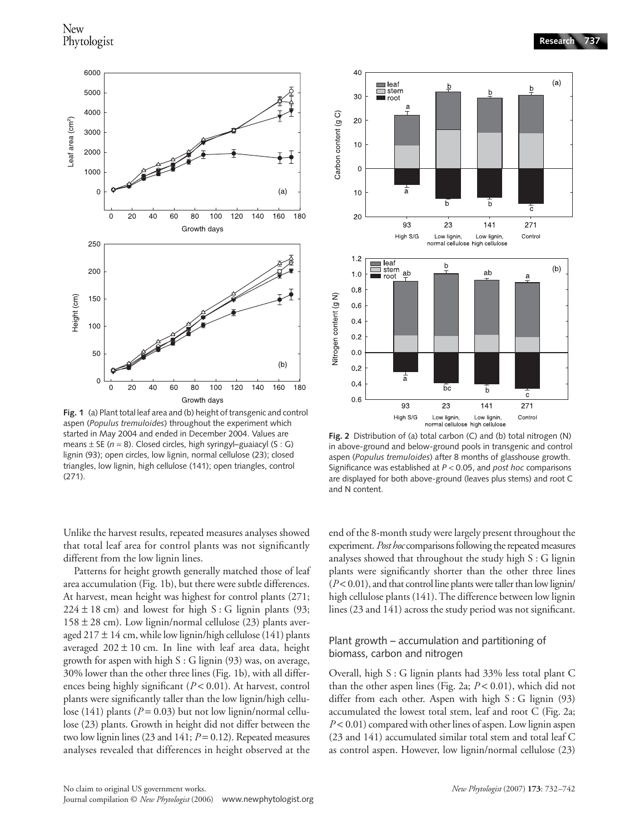

**Fig. 1** (a) Plant total leaf area and (b) height of transgenic and control aspen (*Populus tremuloides*) throughout the experiment which started in May 2004 and ended in December 2004. Values are means ± SE (*n* = 8). Closed circles, high syringyl–guaiacyl (S : G) lignin (93); open circles, low lignin, normal cellulose (23); closed triangles, low lignin, high cellulose (141); open triangles, control (271).

Unlike the harvest results, repeated measures analyses showed that total leaf area for control plants was not significantly different from the low lignin lines.

Patterns for height growth generally matched those of leaf area accumulation (Fig. 1b), but there were subtle differences. At harvest, mean height was highest for control plants (271;  $224 \pm 18$  cm) and lowest for high S: G lignin plants (93;  $158 \pm 28$  cm). Low lignin/normal cellulose (23) plants averaged 217  $\pm$  14 cm, while low lignin/high cellulose (141) plants averaged  $202 \pm 10$  cm. In line with leaf area data, height growth for aspen with high  $S : G$  lignin (93) was, on average, 30% lower than the other three lines (Fig. 1b), with all differences being highly significant (*P* < 0.01). At harvest, control plants were significantly taller than the low lignin/high cellulose (141) plants ( $P = 0.03$ ) but not low lignin/normal cellulose (23) plants. Growth in height did not differ between the two low lignin lines (23 and 141; *P* = 0.12). Repeated measures analyses revealed that differences in height observed at the



**Fig. 2** Distribution of (a) total carbon (C) and (b) total nitrogen (N) in above-ground and below-ground pools in transgenic and control aspen (*Populus tremuloides*) after 8 months of glasshouse growth. Significance was established at *P* < 0.05, and *post hoc* comparisons are displayed for both above-ground (leaves plus stems) and root C and N content.

end of the 8-month study were largely present throughout the experiment. *Post hoc* comparisons following the repeated measures analyses showed that throughout the study high S : G lignin plants were significantly shorter than the other three lines  $(P< 0.01)$ , and that control line plants were taller than low lignin/ high cellulose plants (141). The difference between low lignin lines (23 and 141) across the study period was not significant.

#### Plant growth – accumulation and partitioning of biomass, carbon and nitrogen

Overall, high S : G lignin plants had 33% less total plant C than the other aspen lines (Fig. 2a; *P* < 0.01), which did not differ from each other. Aspen with high  $S : G$  lignin (93) accumulated the lowest total stem, leaf and root C (Fig. 2a; *P* < 0.01) compared with other lines of aspen. Low lignin aspen (23 and 141) accumulated similar total stem and total leaf C as control aspen. However, low lignin/normal cellulose (23)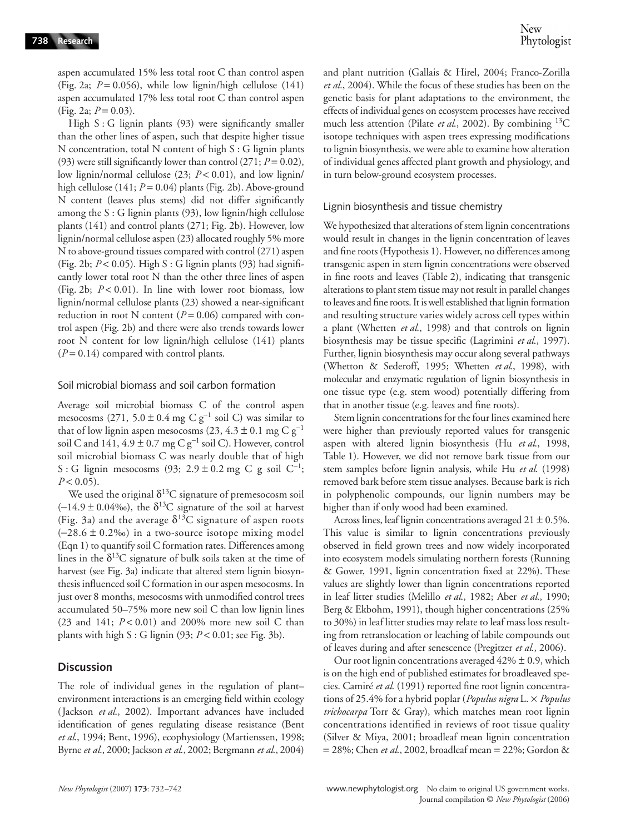aspen accumulated 15% less total root C than control aspen (Fig. 2a;  $P = 0.056$ ), while low lignin/high cellulose (141) aspen accumulated 17% less total root C than control aspen (Fig. 2a;  $P = 0.03$ ).

High S : G lignin plants (93) were significantly smaller than the other lines of aspen, such that despite higher tissue N concentration, total N content of high S : G lignin plants (93) were still significantly lower than control  $(271; P=0.02)$ , low lignin/normal cellulose (23; *P* < 0.01), and low lignin/ high cellulose (141; *P* = 0.04) plants (Fig. 2b). Above-ground N content (leaves plus stems) did not differ significantly among the S : G lignin plants (93), low lignin/high cellulose plants (141) and control plants (271; Fig. 2b). However, low lignin/normal cellulose aspen (23) allocated roughly 5% more N to above-ground tissues compared with control (271) aspen (Fig. 2b; *P* < 0.05). High S : G lignin plants (93) had significantly lower total root N than the other three lines of aspen (Fig. 2b; *P* < 0.01). In line with lower root biomass, low lignin/normal cellulose plants (23) showed a near-significant reduction in root N content  $(P = 0.06)$  compared with control aspen (Fig. 2b) and there were also trends towards lower root N content for low lignin/high cellulose (141) plants  $(P = 0.14)$  compared with control plants.

#### Soil microbial biomass and soil carbon formation

Average soil microbial biomass C of the control aspen mesocosms (271, 5.0 ± 0.4 mg C  $g^{-1}$  soil C) was similar to that of low lignin aspen mesocosms (23, 4.3 ± 0.1 mg C  $g^{-1}$ soil C and 141,  $4.9 \pm 0.7$  mg C g<sup>-1</sup> soil C). However, control soil microbial biomass C was nearly double that of high S : G lignin mesocosms (93;  $2.9 \pm 0.2$  mg C g soil C<sup>-1</sup>;  $P < 0.05$ ).

We used the original  $\delta^{13}$ C signature of premesocosm soil  $(-14.9 \pm 0.04\%)$ , the  $\delta^{13}$ C signature of the soil at harvest (Fig. 3a) and the average  $\delta^{13}$ C signature of aspen roots  $(-28.6 \pm 0.2\%)$  in a two-source isotope mixing model (Eqn 1) to quantify soil C formation rates. Differences among lines in the  $\delta^{13}C$  signature of bulk soils taken at the time of harvest (see Fig. 3a) indicate that altered stem lignin biosynthesis influenced soil C formation in our aspen mesocosms. In just over 8 months, mesocosms with unmodified control trees accumulated 50–75% more new soil C than low lignin lines (23 and 141; *P* < 0.01) and 200% more new soil C than plants with high S : G lignin (93; *P* < 0.01; see Fig. 3b).

## **Discussion**

The role of individual genes in the regulation of plant– environment interactions is an emerging field within ecology (Jackson *et al*., 2002). Important advances have included identification of genes regulating disease resistance (Bent *et al*., 1994; Bent, 1996), ecophysiology (Martienssen, 1998; Byrne *et al*., 2000; Jackson *et al*., 2002; Bergmann *et al*., 2004) and plant nutrition (Gallais & Hirel, 2004; Franco-Zorilla *et al*., 2004). While the focus of these studies has been on the genetic basis for plant adaptations to the environment, the effects of individual genes on ecosystem processes have received much less attention (Pilate *et al*., 2002). By combining 13C isotope techniques with aspen trees expressing modifications to lignin biosynthesis, we were able to examine how alteration of individual genes affected plant growth and physiology, and in turn below-ground ecosystem processes.

#### Lignin biosynthesis and tissue chemistry

We hypothesized that alterations of stem lignin concentrations would result in changes in the lignin concentration of leaves and fine roots (Hypothesis 1). However, no differences among transgenic aspen in stem lignin concentrations were observed in fine roots and leaves (Table 2), indicating that transgenic alterations to plant stem tissue may not result in parallel changes to leaves and fine roots. It is well established that lignin formation and resulting structure varies widely across cell types within a plant (Whetten *et al*., 1998) and that controls on lignin biosynthesis may be tissue specific (Lagrimini *et al*., 1997). Further, lignin biosynthesis may occur along several pathways (Whetton & Sederoff, 1995; Whetten *et al*., 1998), with molecular and enzymatic regulation of lignin biosynthesis in one tissue type (e.g. stem wood) potentially differing from that in another tissue (e.g. leaves and fine roots).

Stem lignin concentrations for the four lines examined here were higher than previously reported values for transgenic aspen with altered lignin biosynthesis (Hu *et al*., 1998, Table 1). However, we did not remove bark tissue from our stem samples before lignin analysis, while Hu *et al*. (1998) removed bark before stem tissue analyses. Because bark is rich in polyphenolic compounds, our lignin numbers may be higher than if only wood had been examined.

Across lines, leaf lignin concentrations averaged  $21 \pm 0.5$ %. This value is similar to lignin concentrations previously observed in field grown trees and now widely incorporated into ecosystem models simulating northern forests (Running & Gower, 1991, lignin concentration fixed at 22%). These values are slightly lower than lignin concentrations reported in leaf litter studies (Melillo *et al*., 1982; Aber *et al*., 1990; Berg & Ekbohm, 1991), though higher concentrations (25% to 30%) in leaf litter studies may relate to leaf mass loss resulting from retranslocation or leaching of labile compounds out of leaves during and after senescence (Pregitzer *et al*., 2006).

Our root lignin concentrations averaged  $42\% \pm 0.9$ , which is on the high end of published estimates for broadleaved species. Camiré *et al*. (1991) reported fine root lignin concentrations of 25.4% for a hybrid poplar (*Populus nigra* L. × *Populus trichocarpa* Torr & Gray), which matches mean root lignin concentrations identified in reviews of root tissue quality (Silver & Miya, 2001; broadleaf mean lignin concentration = 28%; Chen *et al*., 2002, broadleaf mean = 22%; Gordon &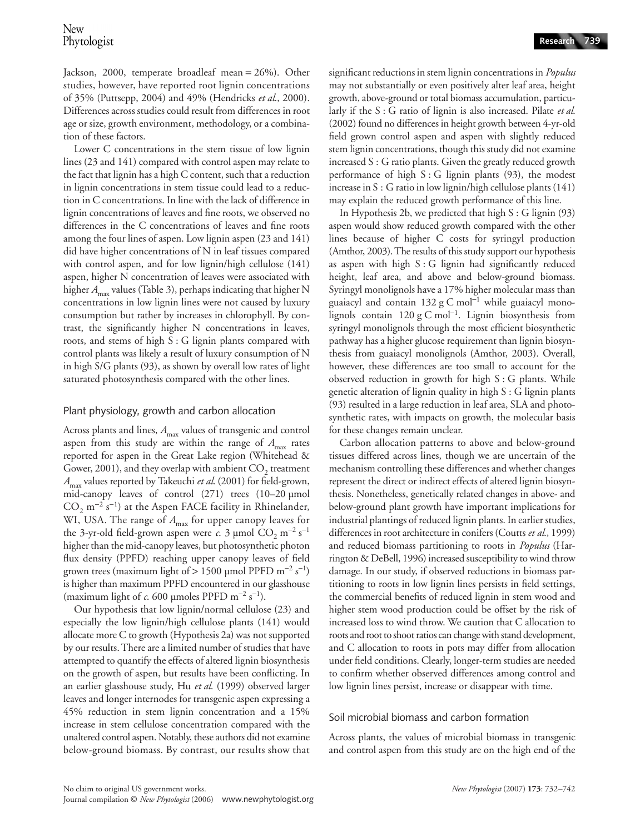Jackson, 2000, temperate broadleaf mean = 26%). Other studies, however, have reported root lignin concentrations of 35% (Puttsepp, 2004) and 49% (Hendricks *et al*., 2000). Differences across studies could result from differences in root age or size, growth environment, methodology, or a combination of these factors.

Lower C concentrations in the stem tissue of low lignin lines (23 and 141) compared with control aspen may relate to the fact that lignin has a high C content, such that a reduction in lignin concentrations in stem tissue could lead to a reduction in C concentrations. In line with the lack of difference in lignin concentrations of leaves and fine roots, we observed no differences in the C concentrations of leaves and fine roots among the four lines of aspen. Low lignin aspen (23 and 141) did have higher concentrations of N in leaf tissues compared with control aspen, and for low lignin/high cellulose (141) aspen, higher N concentration of leaves were associated with higher *A*<sub>max</sub> values (Table 3), perhaps indicating that higher N concentrations in low lignin lines were not caused by luxury consumption but rather by increases in chlorophyll. By contrast, the significantly higher N concentrations in leaves, roots, and stems of high S : G lignin plants compared with control plants was likely a result of luxury consumption of N in high S/G plants (93), as shown by overall low rates of light saturated photosynthesis compared with the other lines.

## Plant physiology, growth and carbon allocation

Across plants and lines,  $A_{\text{max}}$  values of transgenic and control aspen from this study are within the range of  $A_{\text{max}}$  rates reported for aspen in the Great Lake region (Whitehead & Gower, 2001), and they overlap with ambient  $CO<sub>2</sub>$  treatment *A*max values reported by Takeuchi *et al*. (2001) for field-grown, mid-canopy leaves of control (271) trees (10–20 µmol CO<sub>2</sub> m<sup>-2</sup> s<sup>-1</sup>) at the Aspen FACE facility in Rhinelander, WI, USA. The range of  $A_{\text{max}}$  for upper canopy leaves for the 3-yr-old field-grown aspen were *c*. 3 µmol  $CO_2$  m<sup>-2</sup> s<sup>-1</sup> higher than the mid-canopy leaves, but photosynthetic photon flux density (PPFD) reaching upper canopy leaves of field grown trees (maximum light of > 1500 µmol PPFD m<sup>-2</sup> s<sup>-1</sup>) is higher than maximum PPFD encountered in our glasshouse (maximum light of  $c$ . 600 µmoles PPFD m<sup>-2</sup> s<sup>-1</sup>).

Our hypothesis that low lignin/normal cellulose (23) and especially the low lignin/high cellulose plants (141) would allocate more C to growth (Hypothesis 2a) was not supported by our results. There are a limited number of studies that have attempted to quantify the effects of altered lignin biosynthesis on the growth of aspen, but results have been conflicting. In an earlier glasshouse study, Hu *et al*. (1999) observed larger leaves and longer internodes for transgenic aspen expressing a 45% reduction in stem lignin concentration and a 15% increase in stem cellulose concentration compared with the unaltered control aspen. Notably, these authors did not examine below-ground biomass. By contrast, our results show that

significant reductions in stem lignin concentrations in *Populus* may not substantially or even positively alter leaf area, height growth, above-ground or total biomass accumulation, particularly if the S : G ratio of lignin is also increased. Pilate *et al*. (2002) found no differences in height growth between 4-yr-old field grown control aspen and aspen with slightly reduced stem lignin concentrations, though this study did not examine increased S : G ratio plants. Given the greatly reduced growth performance of high  $S : G$  lignin plants (93), the modest increase in S : G ratio in low lignin/high cellulose plants (141) may explain the reduced growth performance of this line.

In Hypothesis 2b, we predicted that high  $S : G$  lignin (93) aspen would show reduced growth compared with the other lines because of higher C costs for syringyl production (Amthor, 2003). The results of this study support our hypothesis as aspen with high S : G lignin had significantly reduced height, leaf area, and above and below-ground biomass. Syringyl monolignols have a 17% higher molecular mass than guaiacyl and contain 132 g C mol<sup>−</sup><sup>1</sup> while guaiacyl monolignols contain 120 g C mol<sup>−</sup><sup>1</sup> . Lignin biosynthesis from syringyl monolignols through the most efficient biosynthetic pathway has a higher glucose requirement than lignin biosynthesis from guaiacyl monolignols (Amthor, 2003). Overall, however, these differences are too small to account for the observed reduction in growth for high S : G plants. While genetic alteration of lignin quality in high S : G lignin plants (93) resulted in a large reduction in leaf area, SLA and photosynthetic rates, with impacts on growth, the molecular basis for these changes remain unclear.

Carbon allocation patterns to above and below-ground tissues differed across lines, though we are uncertain of the mechanism controlling these differences and whether changes represent the direct or indirect effects of altered lignin biosynthesis. Nonetheless, genetically related changes in above- and below-ground plant growth have important implications for industrial plantings of reduced lignin plants. In earlier studies, differences in root architecture in conifers (Coutts *et al*., 1999) and reduced biomass partitioning to roots in *Populus* (Harrington & DeBell, 1996) increased susceptibility to wind throw damage. In our study, if observed reductions in biomass partitioning to roots in low lignin lines persists in field settings, the commercial benefits of reduced lignin in stem wood and higher stem wood production could be offset by the risk of increased loss to wind throw. We caution that C allocation to roots and root to shoot ratios can change with stand development, and C allocation to roots in pots may differ from allocation under field conditions. Clearly, longer-term studies are needed to confirm whether observed differences among control and low lignin lines persist, increase or disappear with time.

# Soil microbial biomass and carbon formation

Across plants, the values of microbial biomass in transgenic and control aspen from this study are on the high end of the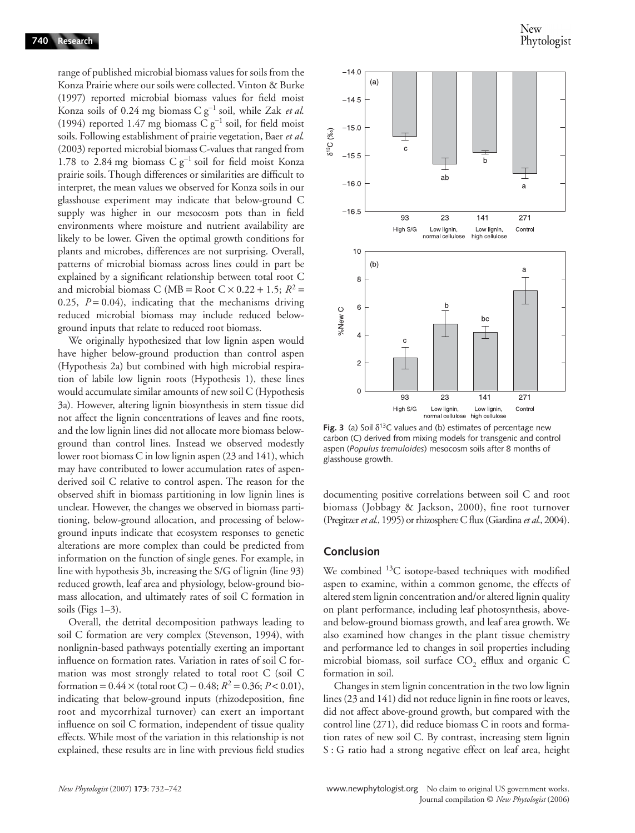range of published microbial biomass values for soils from the Konza Prairie where our soils were collected. Vinton & Burke (1997) reported microbial biomass values for field moist Konza soils of 0.24 mg biomass C g<sup>−</sup><sup>1</sup> soil, while Zak *et al*. (1994) reported 1.47 mg biomass C g<sup>−</sup><sup>1</sup> soil, for field moist soils. Following establishment of prairie vegetation, Baer *et al*. (2003) reported microbial biomass C-values that ranged from 1.78 to 2.84 mg biomass C g<sup>-1</sup> soil for field moist Konza prairie soils. Though differences or similarities are difficult to interpret, the mean values we observed for Konza soils in our glasshouse experiment may indicate that below-ground C supply was higher in our mesocosm pots than in field environments where moisture and nutrient availability are likely to be lower. Given the optimal growth conditions for plants and microbes, differences are not surprising. Overall, patterns of microbial biomass across lines could in part be explained by a significant relationship between total root C and microbial biomass C (MB = Root  $C \times 0.22 + 1.5$ ;  $R^2$  = 0.25,  $P = 0.04$ ), indicating that the mechanisms driving reduced microbial biomass may include reduced belowground inputs that relate to reduced root biomass.

We originally hypothesized that low lignin aspen would have higher below-ground production than control aspen (Hypothesis 2a) but combined with high microbial respiration of labile low lignin roots (Hypothesis 1), these lines would accumulate similar amounts of new soil C (Hypothesis 3a). However, altering lignin biosynthesis in stem tissue did not affect the lignin concentrations of leaves and fine roots, and the low lignin lines did not allocate more biomass belowground than control lines. Instead we observed modestly lower root biomass C in low lignin aspen (23 and 141), which may have contributed to lower accumulation rates of aspenderived soil C relative to control aspen. The reason for the observed shift in biomass partitioning in low lignin lines is unclear. However, the changes we observed in biomass partitioning, below-ground allocation, and processing of belowground inputs indicate that ecosystem responses to genetic alterations are more complex than could be predicted from information on the function of single genes. For example, in line with hypothesis 3b, increasing the S/G of lignin (line 93) reduced growth, leaf area and physiology, below-ground biomass allocation, and ultimately rates of soil C formation in soils (Figs 1–3).

Overall, the detrital decomposition pathways leading to soil C formation are very complex (Stevenson, 1994), with nonlignin-based pathways potentially exerting an important influence on formation rates. Variation in rates of soil C formation was most strongly related to total root C (soil C formation =  $0.44 \times$  (total root C) –  $0.48; R^2 = 0.36; P < 0.01$ ), indicating that below-ground inputs (rhizodeposition, fine root and mycorrhizal turnover) can exert an important influence on soil C formation, independent of tissue quality effects. While most of the variation in this relationship is not explained, these results are in line with previous field studies



**Fig. 3** (a) Soil  $\delta^{13}$ C values and (b) estimates of percentage new carbon (C) derived from mixing models for transgenic and control aspen (*Populus tremuloides*) mesocosm soils after 8 months of glasshouse growth.

documenting positive correlations between soil C and root biomass (Jobbagy & Jackson, 2000), fine root turnover (Pregitzer *et al*., 1995) or rhizosphere C flux (Giardina *et al*., 2004).

## **Conclusion**

We combined <sup>13</sup>C isotope-based techniques with modified aspen to examine, within a common genome, the effects of altered stem lignin concentration and/or altered lignin quality on plant performance, including leaf photosynthesis, aboveand below-ground biomass growth, and leaf area growth. We also examined how changes in the plant tissue chemistry and performance led to changes in soil properties including microbial biomass, soil surface  $CO<sub>2</sub>$  efflux and organic C formation in soil.

Changes in stem lignin concentration in the two low lignin lines (23 and 141) did not reduce lignin in fine roots or leaves, did not affect above-ground growth, but compared with the control line (271), did reduce biomass C in roots and formation rates of new soil C. By contrast, increasing stem lignin S : G ratio had a strong negative effect on leaf area, height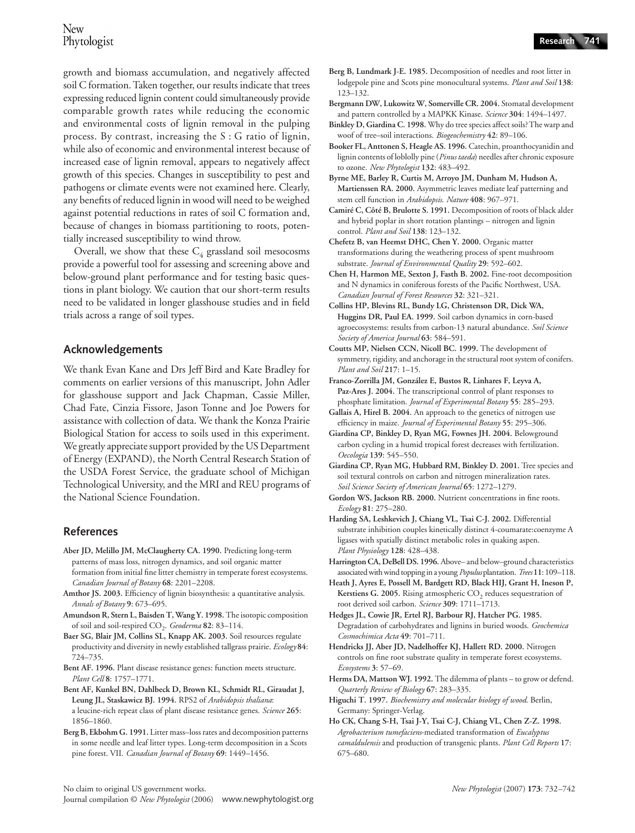growth and biomass accumulation, and negatively affected soil C formation. Taken together, our results indicate that trees expressing reduced lignin content could simultaneously provide comparable growth rates while reducing the economic and environmental costs of lignin removal in the pulping process. By contrast, increasing the S : G ratio of lignin, while also of economic and environmental interest because of increased ease of lignin removal, appears to negatively affect growth of this species. Changes in susceptibility to pest and pathogens or climate events were not examined here. Clearly, any benefits of reduced lignin in wood will need to be weighed against potential reductions in rates of soil C formation and, because of changes in biomass partitioning to roots, potentially increased susceptibility to wind throw.

Overall, we show that these  $C_4$  grassland soil mesocosms provide a powerful tool for assessing and screening above and below-ground plant performance and for testing basic questions in plant biology. We caution that our short-term results need to be validated in longer glasshouse studies and in field trials across a range of soil types.

# **Acknowledgements**

We thank Evan Kane and Drs Jeff Bird and Kate Bradley for comments on earlier versions of this manuscript, John Adler for glasshouse support and Jack Chapman, Cassie Miller, Chad Fate, Cinzia Fissore, Jason Tonne and Joe Powers for assistance with collection of data. We thank the Konza Prairie Biological Station for access to soils used in this experiment. We greatly appreciate support provided by the US Department of Energy (EXPAND), the North Central Research Station of the USDA Forest Service, the graduate school of Michigan Technological University, and the MRI and REU programs of the National Science Foundation.

## **References**

- **Aber JD, Melillo JM, McClaugherty CA. 1990.** Predicting long-term patterns of mass loss, nitrogen dynamics, and soil organic matter formation from initial fine litter chemistry in temperate forest ecosystems. *Canadian Journal of Botany* **68**: 2201–2208.
- **Amthor JS. 2003.** Efficiency of lignin biosynthesis: a quantitative analysis. *Annals of Botany* **9**: 673–695.
- **Amundson R, Stern L, Baisden T, Wang Y. 1998.** The isotopic composition of soil and soil-respired CO<sub>2</sub>. *Geoderma* 82: 83-114.
- **Baer SG, Blair JM, Collins SL, Knapp AK. 2003.** Soil resources regulate productivity and diversity in newly established tallgrass prairie. *Ecology* **84**: 724–735.
- **Bent AF. 1996.** Plant disease resistance genes: function meets structure. *Plant Cell* **8**: 1757–1771.
- **Bent AF, Kunkel BN, Dahlbeck D, Brown KL, Schmidt RL, Giraudat J, Leung JL, Staskawicz BJ. 1994.** RPS2 of *Arabidopsis thaliana*: a leucine-rich repeat class of plant disease resistance genes. *Science* **265**: 1856–1860.
- **Berg B, Ekbohm G. 1991.** Litter mass–loss rates and decomposition patterns in some needle and leaf litter types. Long-term decomposition in a Scots pine forest. VII. *Canadian Journal of Botany* **69**: 1449–1456.
- **Berg B, Lundmark J-E. 1985.** Decomposition of needles and root litter in lodgepole pine and Scots pine monocultural systems. *Plant and Soil* **138**: 123–132.
- **Bergmann DW, Lukowitz W, Somerville CR. 2004.** Stomatal development and pattern controlled by a MAPKK Kinase. *Science* **304**: 1494–1497.
- **Binkley D, Giardina C. 1998.** Why do tree species affect soils? The warp and woof of tree–soil interactions. *Biogeochemistry* **42**: 89–106.
- **Booker FL, Anttonen S, Heagle AS. 1996.** Catechin, proanthocyanidin and lignin contents of loblolly pine (*Pinus taeda*) needles after chronic exposure to ozone. *New Phytologist* **132**: 483–492.
- **Byrne ME, Barley R, Curtis M, Arroyo JM, Dunham M, Hudson A, Martienssen RA. 2000.** Asymmetric leaves mediate leaf patterning and stem cell function in *Arabidopsis*. *Nature* **408**: 967–971.
- **Camiré C, Côté B, Brulotte S. 1991.** Decomposition of roots of black alder and hybrid poplar in short rotation plantings – nitrogen and lignin control. *Plant and Soil* **138**: 123–132.
- **Chefetz B, van Heemst DHC, Chen Y. 2000.** Organic matter transformations during the weathering process of spent mushroom substrate. *Journal of Environmental Quality* **29**: 592–602.
- **Chen H, Harmon ME, Sexton J, Fasth B. 2002.** Fine-root decomposition and N dynamics in coniferous forests of the Pacific Northwest, USA. *Canadian Journal of Forest Resources* **32**: 321–321.
- **Collins HP, Blevins RL, Bundy LG, Christenson DR, Dick WA, Huggins DR, Paul EA. 1999.** Soil carbon dynamics in corn-based agroecosystems: results from carbon-13 natural abundance. *Soil Science Society of America Journal* **63**: 584–591.
- **Coutts MP, Nielsen CCN, Nicoll BC. 1999.** The development of symmetry, rigidity, and anchorage in the structural root system of conifers. *Plant and Soil* **217**: 1–15.
- **Franco-Zorrilla JM, González E, Bustos R, Linhares F, Leyva A,**  Paz-Ares J. 2004. The transcriptional control of plant responses to phosphate limitation. *Journal of Experimental Botany* **55**: 285–293.
- **Gallais A, Hirel B. 2004.** An approach to the genetics of nitrogen use efficiency in maize. *Journal of Experimental Botany* **55**: 295–306.
- **Giardina CP, Binkley D, Ryan MG, Fownes JH. 2004.** Belowground carbon cycling in a humid tropical forest decreases with fertilization. *Oecologia* **139**: 545–550.
- **Giardina CP, Ryan MG, Hubbard RM, Binkley D. 2001.** Tree species and soil textural controls on carbon and nitrogen mineralization rates. *Soil Science Society of American Journal* **65**: 1272–1279.
- **Gordon WS, Jackson RB. 2000.** Nutrient concentrations in fine roots. *Ecology* **81**: 275–280.
- **Harding SA, Leshkevich J, Chiang VL, Tsai C-J. 2002.** Differential substrate inhibition couples kinetically distinct 4-coumarate:coenzyme A ligases with spatially distinct metabolic roles in quaking aspen. *Plant Physiology* **128**: 428–438.
- **Harrington CA, DeBell DS. 1996.** Above– and below–ground characteristics associated with wind topping in a young *Populus* plantation. *Trees* **11**: 109–118.
- **Heath J, Ayres E, Possell M, Bardgett RD, Black HIJ, Grant H, Ineson P,**  Kerstiens G. 2005. Rising atmospheric CO<sub>2</sub> reduces sequestration of root derived soil carbon. *Science* **309**: 1711–1713.
- **Hedges JL, Cowie JR, Ertel RJ, Barbour RJ, Hatcher PG. 1985.**  Degradation of carbohydrates and lignins in buried woods. *Geochemica Cosmochimica Acta* **49**: 701–711.
- **Hendricks JJ, Aber JD, Nadelhoffer KJ, Hallett RD. 2000.** Nitrogen controls on fine root substrate quality in temperate forest ecosystems. *Ecosystems* **3**: 57–69.
- **Herms DA, Mattson WJ. 1992.** The dilemma of plants to grow or defend. *Quarterly Review of Biology* **67**: 283–335.
- **Higuchi T. 1997.** *Biochemistry and molecular biology of wood*. Berlin, Germany: Springer-Verlag.
- **Ho CK, Chang S-H, Tsai J-Y, Tsai C-J, Chiang VL, Chen Z-Z. 1998.**  *Agrobacterium tumefaciens*-mediated transformation of *Eucalyptus camaldulensis* and production of transgenic plants. *Plant Cell Reports* **17**: 675–680.